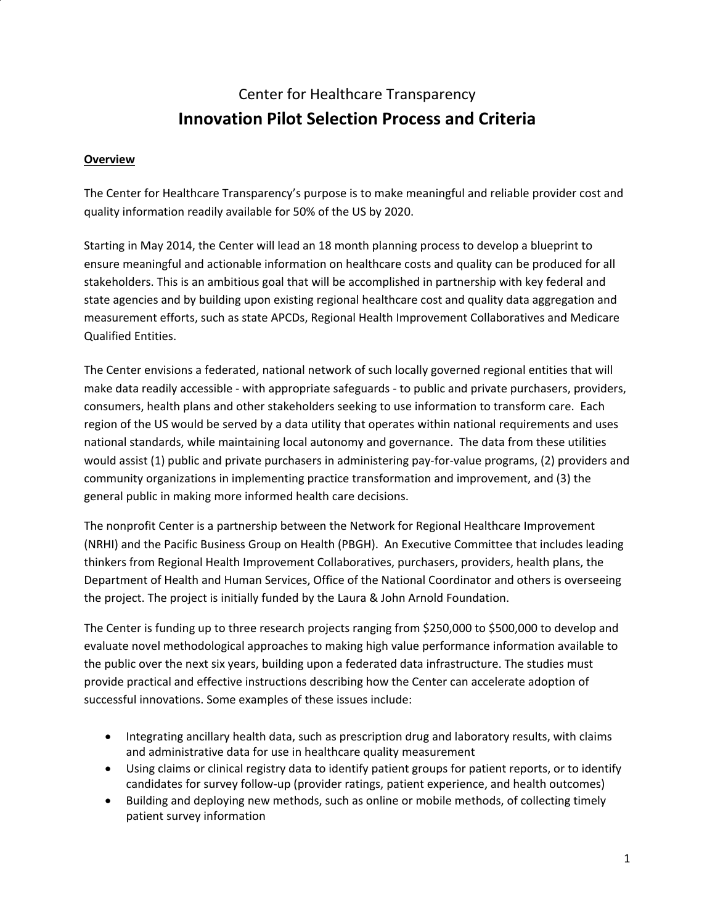# Center for Healthcare Transparency **Innovation Pilot Selection Process and Criteria**

#### **Overview**

The Center for Healthcare Transparency's purpose is to make meaningful and reliable provider cost and quality information readily available for 50% of the US by 2020.

Starting in May 2014, the Center will lead an 18 month planning process to develop a blueprint to ensure meaningful and actionable information on healthcare costs and quality can be produced for all stakeholders. This is an ambitious goal that will be accomplished in partnership with key federal and state agencies and by building upon existing regional healthcare cost and quality data aggregation and measurement efforts, such as state APCDs, Regional Health Improvement Collaboratives and Medicare Qualified Entities.

The Center envisions a federated, national network of such locally governed regional entities that will make data readily accessible ‐ with appropriate safeguards ‐ to public and private purchasers, providers, consumers, health plans and other stakeholders seeking to use information to transform care. Each region of the US would be served by a data utility that operates within national requirements and uses national standards, while maintaining local autonomy and governance. The data from these utilities would assist (1) public and private purchasers in administering pay-for-value programs, (2) providers and community organizations in implementing practice transformation and improvement, and (3) the general public in making more informed health care decisions.

The nonprofit Center is a partnership between the Network for Regional Healthcare Improvement (NRHI) and the Pacific Business Group on Health (PBGH). An Executive Committee that includes leading thinkers from Regional Health Improvement Collaboratives, purchasers, providers, health plans, the Department of Health and Human Services, Office of the National Coordinator and others is overseeing the project. The project is initially funded by the Laura & John Arnold Foundation.

The Center is funding up to three research projects ranging from \$250,000 to \$500,000 to develop and evaluate novel methodological approaches to making high value performance information available to the public over the next six years, building upon a federated data infrastructure. The studies must provide practical and effective instructions describing how the Center can accelerate adoption of successful innovations. Some examples of these issues include:

- Integrating ancillary health data, such as prescription drug and laboratory results, with claims and administrative data for use in healthcare quality measurement
- Using claims or clinical registry data to identify patient groups for patient reports, or to identify candidates for survey follow‐up (provider ratings, patient experience, and health outcomes)
- Building and deploying new methods, such as online or mobile methods, of collecting timely patient survey information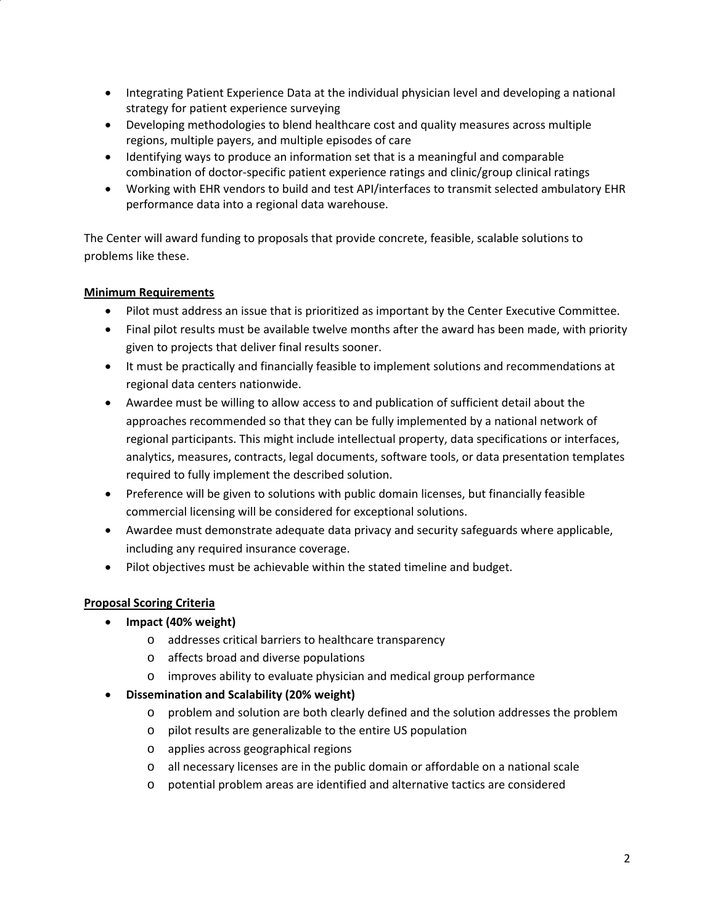- Integrating Patient Experience Data at the individual physician level and developing a national strategy for patient experience surveying
- Developing methodologies to blend healthcare cost and quality measures across multiple regions, multiple payers, and multiple episodes of care
- Identifying ways to produce an information set that is a meaningful and comparable combination of doctor‐specific patient experience ratings and clinic/group clinical ratings
- Working with EHR vendors to build and test API/interfaces to transmit selected ambulatory EHR performance data into a regional data warehouse.

The Center will award funding to proposals that provide concrete, feasible, scalable solutions to problems like these.

## **Minimum Requirements**

- Pilot must address an issue that is prioritized as important by the Center Executive Committee.
- Final pilot results must be available twelve months after the award has been made, with priority given to projects that deliver final results sooner.
- It must be practically and financially feasible to implement solutions and recommendations at regional data centers nationwide.
- Awardee must be willing to allow access to and publication of sufficient detail about the approaches recommended so that they can be fully implemented by a national network of regional participants. This might include intellectual property, data specifications or interfaces, analytics, measures, contracts, legal documents, software tools, or data presentation templates required to fully implement the described solution.
- Preference will be given to solutions with public domain licenses, but financially feasible commercial licensing will be considered for exceptional solutions.
- Awardee must demonstrate adequate data privacy and security safeguards where applicable, including any required insurance coverage.
- Pilot objectives must be achievable within the stated timeline and budget.

## **Proposal Scoring Criteria**

- **Impact (40% weight)**
	- o addresses critical barriers to healthcare transparency
	- o affects broad and diverse populations
	- o improves ability to evaluate physician and medical group performance
- **Dissemination and Scalability (20% weight)**
	- o problem and solution are both clearly defined and the solution addresses the problem
	- o pilot results are generalizable to the entire US population
	- o applies across geographical regions
	- o all necessary licenses are in the public domain or affordable on a national scale
	- o potential problem areas are identified and alternative tactics are considered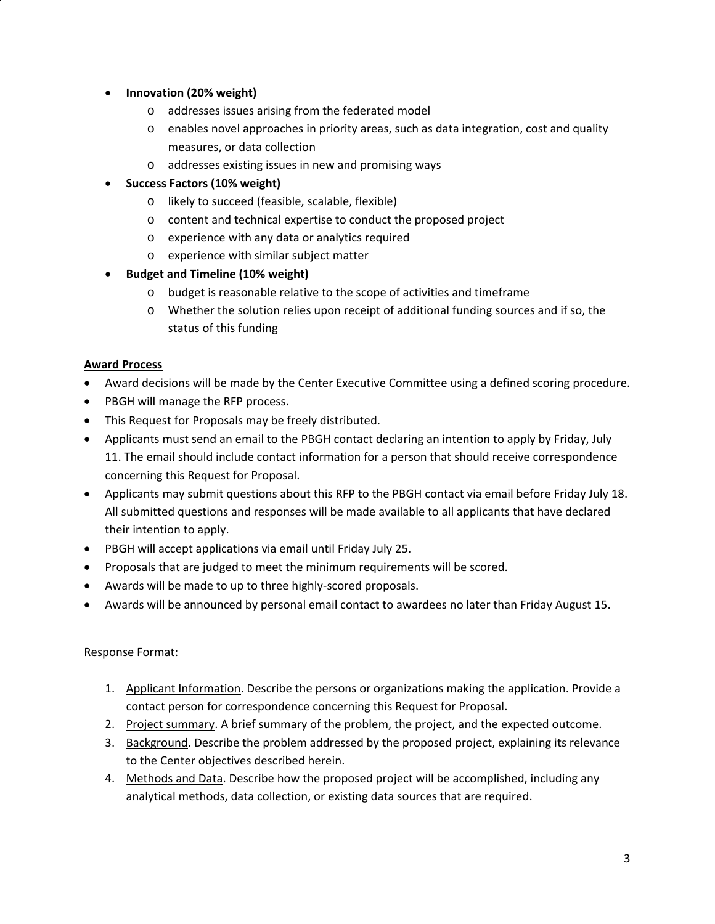## **Innovation (20% weight)**

- o addresses issues arising from the federated model
- o enables novel approaches in priority areas, such as data integration, cost and quality measures, or data collection
- o addresses existing issues in new and promising ways
- **Success Factors (10% weight)**
	- o likely to succeed (feasible, scalable, flexible)
	- o content and technical expertise to conduct the proposed project
	- o experience with any data or analytics required
	- o experience with similar subject matter
- **Budget and Timeline (10% weight)**
	- o budget is reasonable relative to the scope of activities and timeframe
	- o Whether the solution relies upon receipt of additional funding sources and if so, the status of this funding

## **Award Process**

- Award decisions will be made by the Center Executive Committee using a defined scoring procedure.
- PBGH will manage the RFP process.
- This Request for Proposals may be freely distributed.
- Applicants must send an email to the PBGH contact declaring an intention to apply by Friday, July 11. The email should include contact information for a person that should receive correspondence concerning this Request for Proposal.
- Applicants may submit questions about this RFP to the PBGH contact via email before Friday July 18. All submitted questions and responses will be made available to all applicants that have declared their intention to apply.
- PBGH will accept applications via email until Friday July 25.
- Proposals that are judged to meet the minimum requirements will be scored.
- Awards will be made to up to three highly-scored proposals.
- Awards will be announced by personal email contact to awardees no later than Friday August 15.

## Response Format:

- 1. Applicant Information. Describe the persons or organizations making the application. Provide a contact person for correspondence concerning this Request for Proposal.
- 2. Project summary. A brief summary of the problem, the project, and the expected outcome.
- 3. Background. Describe the problem addressed by the proposed project, explaining its relevance to the Center objectives described herein.
- 4. Methods and Data. Describe how the proposed project will be accomplished, including any analytical methods, data collection, or existing data sources that are required.